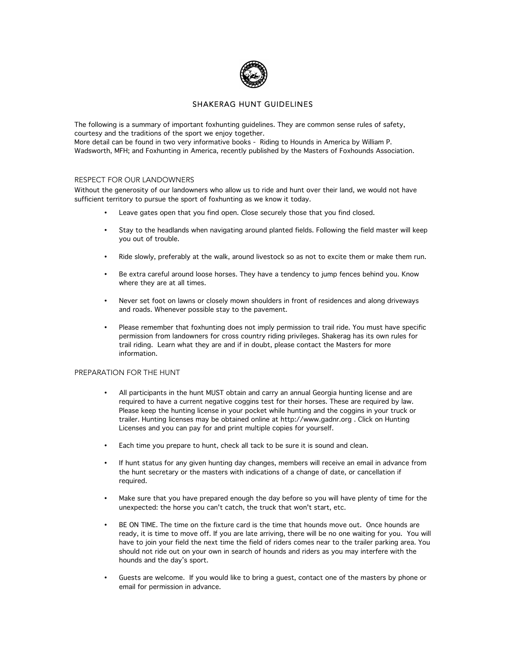

# SHAKERAG HUNT GUIDELINES

The following is a summary of important foxhunting guidelines. They are common sense rules of safety, courtesy and the traditions of the sport we enjoy together.

More detail can be found in two very informative books - Riding to Hounds in America by William P. Wadsworth, MFH; and Foxhunting in America, recently published by the Masters of Foxhounds Association.

#### RESPECT FOR OUR LANDOWNERS

Without the generosity of our landowners who allow us to ride and hunt over their land, we would not have sufficient territory to pursue the sport of foxhunting as we know it today.

- Leave gates open that you find open. Close securely those that you find closed.
- Stay to the headlands when navigating around planted fields. Following the field master will keep you out of trouble.
- Ride slowly, preferably at the walk, around livestock so as not to excite them or make them run.
- Be extra careful around loose horses. They have a tendency to jump fences behind you. Know where they are at all times.
- Never set foot on lawns or closely mown shoulders in front of residences and along driveways and roads. Whenever possible stay to the pavement.
- Please remember that foxhunting does not imply permission to trail ride. You must have specific permission from landowners for cross country riding privileges. Shakerag has its own rules for trail riding. Learn what they are and if in doubt, please contact the Masters for more information.

### PREPARATION FOR THE HUNT

- All participants in the hunt MUST obtain and carry an annual Georgia hunting license and are required to have a current negative coggins test for their horses. These are required by law. Please keep the hunting license in your pocket while hunting and the coggins in your truck or trailer. Hunting licenses may be obtained online at http://www.gadnr.org . Click on Hunting Licenses and you can pay for and print multiple copies for yourself.
- Each time you prepare to hunt, check all tack to be sure it is sound and clean.
- If hunt status for any given hunting day changes, members will receive an email in advance from the hunt secretary or the masters with indications of a change of date, or cancellation if required.
- Make sure that you have prepared enough the day before so you will have plenty of time for the unexpected: the horse you can't catch, the truck that won't start, etc.
- BE ON TIME. The time on the fixture card is the time that hounds move out. Once hounds are ready, it is time to move off. If you are late arriving, there will be no one waiting for you. You will have to join your field the next time the field of riders comes near to the trailer parking area. You should not ride out on your own in search of hounds and riders as you may interfere with the hounds and the day's sport.
- Guests are welcome. If you would like to bring a guest, contact one of the masters by phone or email for permission in advance.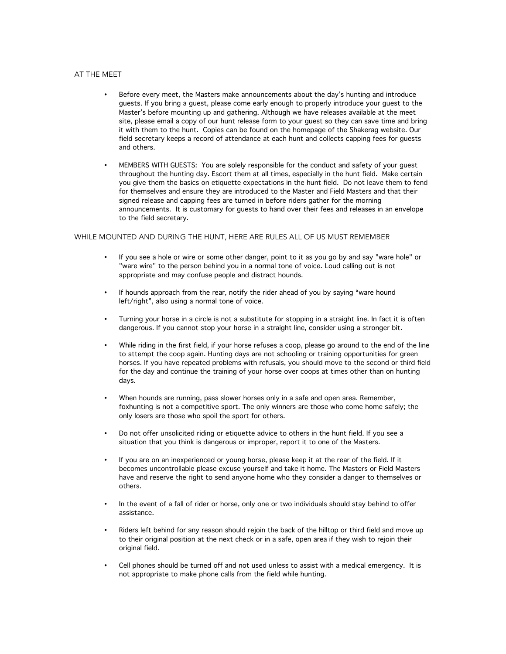### AT THE MEET

- Before every meet, the Masters make announcements about the day's hunting and introduce guests. If you bring a guest, please come early enough to properly introduce your guest to the Master's before mounting up and gathering. Although we have releases available at the meet site, please email a copy of our hunt release form to your guest so they can save time and bring it with them to the hunt. Copies can be found on the homepage of the Shakerag website. Our field secretary keeps a record of attendance at each hunt and collects capping fees for guests and others.
- MEMBERS WITH GUESTS: You are solely responsible for the conduct and safety of your guest throughout the hunting day. Escort them at all times, especially in the hunt field. Make certain you give them the basics on etiquette expectations in the hunt field. Do not leave them to fend for themselves and ensure they are introduced to the Master and Field Masters and that their signed release and capping fees are turned in before riders gather for the morning announcements. It is customary for guests to hand over their fees and releases in an envelope to the field secretary.

### WHILE MOUNTED AND DURING THE HUNT, HERE ARE RULES ALL OF US MUST REMEMBER

- If you see a hole or wire or some other danger, point to it as you go by and say "ware hole" or "ware wire" to the person behind you in a normal tone of voice. Loud calling out is not appropriate and may confuse people and distract hounds.
- If hounds approach from the rear, notify the rider ahead of you by saying "ware hound left/right", also using a normal tone of voice.
- Turning your horse in a circle is not a substitute for stopping in a straight line. In fact it is often dangerous. If you cannot stop your horse in a straight line, consider using a stronger bit.
- While riding in the first field, if your horse refuses a coop, please go around to the end of the line to attempt the coop again. Hunting days are not schooling or training opportunities for green horses. If you have repeated problems with refusals, you should move to the second or third field for the day and continue the training of your horse over coops at times other than on hunting days.
- When hounds are running, pass slower horses only in a safe and open area. Remember, foxhunting is not a competitive sport. The only winners are those who come home safely; the only losers are those who spoil the sport for others.
- Do not offer unsolicited riding or etiquette advice to others in the hunt field. If you see a situation that you think is dangerous or improper, report it to one of the Masters.
- If you are on an inexperienced or young horse, please keep it at the rear of the field. If it becomes uncontrollable please excuse yourself and take it home. The Masters or Field Masters have and reserve the right to send anyone home who they consider a danger to themselves or others.
- In the event of a fall of rider or horse, only one or two individuals should stay behind to offer assistance.
- Riders left behind for any reason should rejoin the back of the hilltop or third field and move up to their original position at the next check or in a safe, open area if they wish to rejoin their original field.
- Cell phones should be turned off and not used unless to assist with a medical emergency. It is not appropriate to make phone calls from the field while hunting.